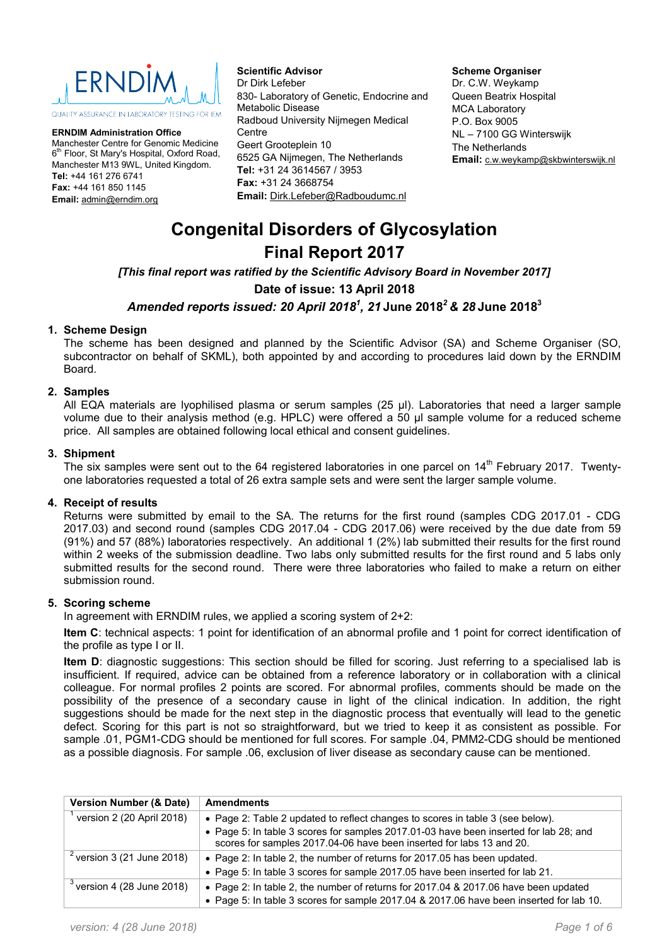

QUALITY ASSURANCE IN LABORATORY TESTING FOR JEM

**ERNDIM Administration Office** Manchester Centre for Genomic Medicine 6<sup>th</sup> Floor, St Mary's Hospital, Oxford Road, Manchester M13 9WL, United Kingdom. **Tel:** +44 161 276 6741 **Fax:** +44 161 850 1145 **Email:** admin@erndim.org

**Scientific Advisor** Dr Dirk Lefeber 830- Laboratory of Genetic, Endocrine and Metabolic Disease Radboud University Nijmegen Medical Centre Geert Grooteplein 10 6525 GA Nijmegen, The Netherlands **Tel:** +31 24 3614567 / 3953 **Fax:** +31 24 3668754 **Email:** Dirk.Lefeber@Radboudumc.nl

#### **Scheme Organiser**

Dr. C.W. Weykamp Queen Beatrix Hospital MCA Laboratory P.O. Box 9005 NL – 7100 GG Winterswijk The Netherlands **Email:** c.w.weykamp@skbwinterswijk.nl

# **Congenital Disorders of Glycosylation Final Report 2017**

*[This final report was ratified by the Scientific Advisory Board in November 2017]*

**Date of issue: 13 April 2018**

# *Amended reports issued: 20 April 20181 , 21* **June 2018***<sup>2</sup> & 28* **June 20183**

## **1. Scheme Design**

The scheme has been designed and planned by the Scientific Advisor (SA) and Scheme Organiser (SO, subcontractor on behalf of SKML), both appointed by and according to procedures laid down by the ERNDIM Board.

## **2. Samples**

All EQA materials are lyophilised plasma or serum samples (25 µl). Laboratories that need a larger sample volume due to their analysis method (e.g. HPLC) were offered a 50 µl sample volume for a reduced scheme price. All samples are obtained following local ethical and consent guidelines.

## **3. Shipment**

The six samples were sent out to the 64 registered laboratories in one parcel on 14<sup>th</sup> February 2017. Twentyone laboratories requested a total of 26 extra sample sets and were sent the larger sample volume.

## **4. Receipt of results**

Returns were submitted by email to the SA. The returns for the first round (samples CDG 2017.01 - CDG 2017.03) and second round (samples CDG 2017.04 - CDG 2017.06) were received by the due date from 59 (91%) and 57 (88%) laboratories respectively. An additional 1 (2%) lab submitted their results for the first round within 2 weeks of the submission deadline. Two labs only submitted results for the first round and 5 labs only submitted results for the second round. There were three laboratories who failed to make a return on either submission round.

## **5. Scoring scheme**

In agreement with ERNDIM rules, we applied a scoring system of 2+2:

**Item C**: technical aspects: 1 point for identification of an abnormal profile and 1 point for correct identification of the profile as type I or II.

**Item D**: diagnostic suggestions: This section should be filled for scoring. Just referring to a specialised lab is insufficient. If required, advice can be obtained from a reference laboratory or in collaboration with a clinical colleague. For normal profiles 2 points are scored. For abnormal profiles, comments should be made on the possibility of the presence of a secondary cause in light of the clinical indication. In addition, the right suggestions should be made for the next step in the diagnostic process that eventually will lead to the genetic defect. Scoring for this part is not so straightforward, but we tried to keep it as consistent as possible. For sample .01, PGM1-CDG should be mentioned for full scores. For sample .04, PMM2-CDG should be mentioned as a possible diagnosis. For sample .06, exclusion of liver disease as secondary cause can be mentioned.

| <b>Version Number (&amp; Date)</b>     | <b>Amendments</b>                                                                                                                                             |
|----------------------------------------|---------------------------------------------------------------------------------------------------------------------------------------------------------------|
| version 2 (20 April 2018)              | • Page 2: Table 2 updated to reflect changes to scores in table 3 (see below).                                                                                |
|                                        | • Page 5: In table 3 scores for samples 2017.01-03 have been inserted for lab 28; and<br>scores for samples 2017.04-06 have been inserted for labs 13 and 20. |
| $\sqrt[2]{2}$ version 3 (21 June 2018) | • Page 2: In table 2, the number of returns for 2017.05 has been updated.                                                                                     |
|                                        | . Page 5: In table 3 scores for sample 2017.05 have been inserted for lab 21.                                                                                 |
| $3$ version 4 (28 June 2018)           | • Page 2: In table 2, the number of returns for 2017.04 & 2017.06 have been updated                                                                           |
|                                        | . Page 5: In table 3 scores for sample 2017.04 & 2017.06 have been inserted for lab 10.                                                                       |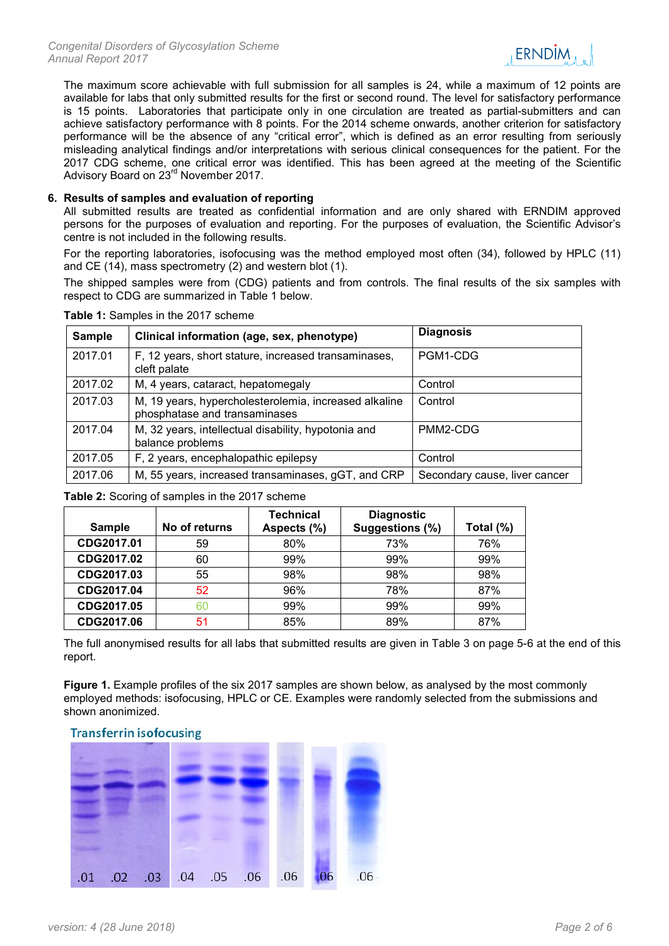

The maximum score achievable with full submission for all samples is 24, while a maximum of 12 points are available for labs that only submitted results for the first or second round. The level for satisfactory performance is 15 points. Laboratories that participate only in one circulation are treated as partial-submitters and can achieve satisfactory performance with 8 points. For the 2014 scheme onwards, another criterion for satisfactory performance will be the absence of any "critical error", which is defined as an error resulting from seriously misleading analytical findings and/or interpretations with serious clinical consequences for the patient. For the 2017 CDG scheme, one critical error was identified. This has been agreed at the meeting of the Scientific Advisory Board on 23rd November 2017.

## **6. Results of samples and evaluation of reporting**

All submitted results are treated as confidential information and are only shared with ERNDIM approved persons for the purposes of evaluation and reporting. For the purposes of evaluation, the Scientific Advisor's centre is not included in the following results.

For the reporting laboratories, isofocusing was the method employed most often (34), followed by HPLC (11) and CE (14), mass spectrometry (2) and western blot (1).

The shipped samples were from (CDG) patients and from controls. The final results of the six samples with respect to CDG are summarized in Table 1 below.

| <b>Sample</b> | Clinical information (age, sex, phenotype)                                             | <b>Diagnosis</b>              |
|---------------|----------------------------------------------------------------------------------------|-------------------------------|
| 2017.01       | F, 12 years, short stature, increased transaminases,<br>cleft palate                   | PGM1-CDG                      |
| 2017.02       | M, 4 years, cataract, hepatomegaly                                                     | Control                       |
| 2017.03       | M, 19 years, hypercholesterolemia, increased alkaline<br>phosphatase and transaminases | Control                       |
| 2017.04       | M, 32 years, intellectual disability, hypotonia and<br>balance problems                | PMM2-CDG                      |
| 2017.05       | F, 2 years, encephalopathic epilepsy                                                   | Control                       |
| 2017.06       | M, 55 years, increased transaminases, gGT, and CRP                                     | Secondary cause, liver cancer |

**Table 1:** Samples in the 2017 scheme

**Table 2:** Scoring of samples in the 2017 scheme

| <b>Sample</b> | No of returns | <b>Technical</b><br>Aspects (%) | <b>Diagnostic</b><br>Suggestions (%) | Total (%) |
|---------------|---------------|---------------------------------|--------------------------------------|-----------|
| CDG2017.01    | 59            | 80%                             | 73%                                  | 76%       |
| CDG2017.02    | 60            | 99%                             | 99%                                  | 99%       |
| CDG2017.03    | 55            | 98%                             | 98%                                  | 98%       |
| CDG2017.04    | 52            | 96%                             | 78%                                  | 87%       |
| CDG2017.05    | 60            | 99%                             | 99%                                  | 99%       |
| CDG2017.06    | 51            | 85%                             | 89%                                  | 87%       |

The full anonymised results for all labs that submitted results are given in Table 3 on page 5-6 at the end of this report.

**Figure 1.** Example profiles of the six 2017 samples are shown below, as analysed by the most commonly employed methods: isofocusing, HPLC or CE. Examples were randomly selected from the submissions and shown anonimized.

## **Transferrin isofocusing**

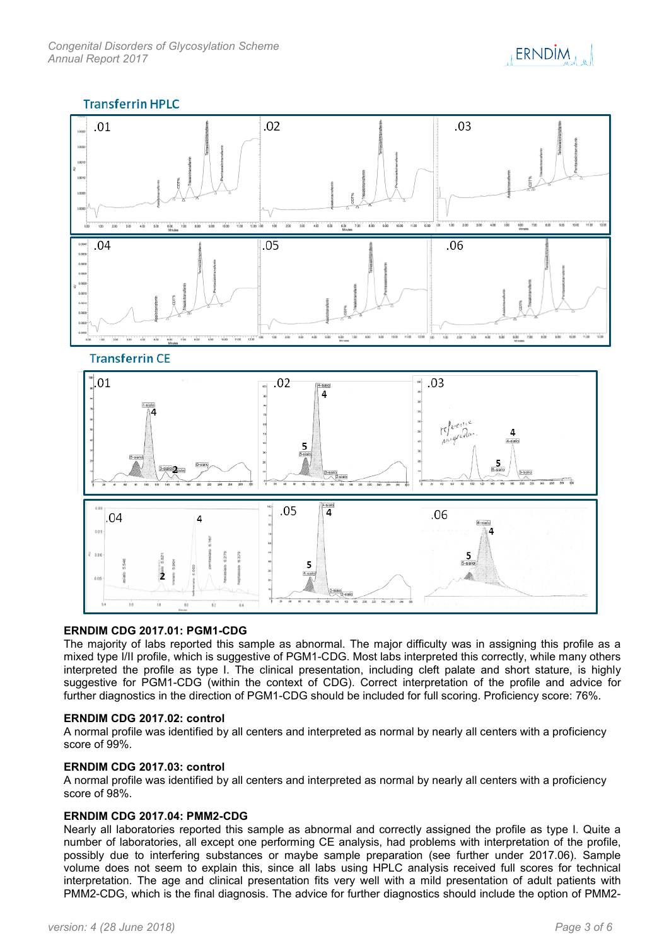

# **Transferrin HPLC**



## **ERNDIM CDG 2017.01: PGM1-CDG**

The majority of labs reported this sample as abnormal. The major difficulty was in assigning this profile as a mixed type I/II profile, which is suggestive of PGM1-CDG. Most labs interpreted this correctly, while many others interpreted the profile as type I. The clinical presentation, including cleft palate and short stature, is highly suggestive for PGM1-CDG (within the context of CDG). Correct interpretation of the profile and advice for further diagnostics in the direction of PGM1-CDG should be included for full scoring. Proficiency score: 76%.

### **ERNDIM CDG 2017.02: control**

A normal profile was identified by all centers and interpreted as normal by nearly all centers with a proficiency score of 99%.

### **ERNDIM CDG 2017.03: control**

A normal profile was identified by all centers and interpreted as normal by nearly all centers with a proficiency score of 98%.

## **ERNDIM CDG 2017.04: PMM2-CDG**

Nearly all laboratories reported this sample as abnormal and correctly assigned the profile as type I. Quite a number of laboratories, all except one performing CE analysis, had problems with interpretation of the profile, possibly due to interfering substances or maybe sample preparation (see further under 2017.06). Sample volume does not seem to explain this, since all labs using HPLC analysis received full scores for technical interpretation. The age and clinical presentation fits very well with a mild presentation of adult patients with PMM2-CDG, which is the final diagnosis. The advice for further diagnostics should include the option of PMM2-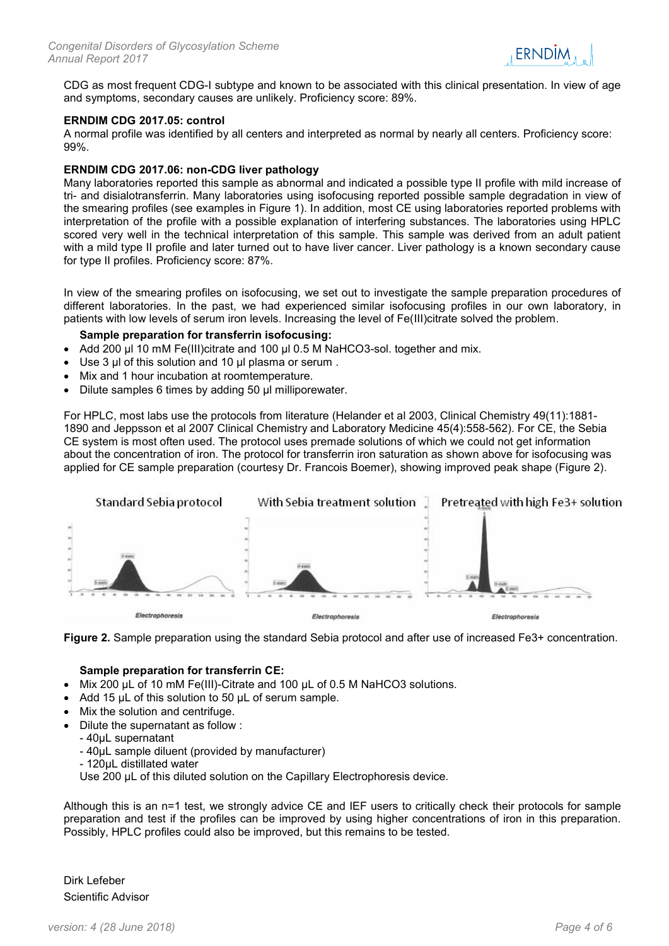

CDG as most frequent CDG-I subtype and known to be associated with this clinical presentation. In view of age and symptoms, secondary causes are unlikely. Proficiency score: 89%.

## **ERNDIM CDG 2017.05: control**

A normal profile was identified by all centers and interpreted as normal by nearly all centers. Proficiency score: 99%.

## **ERNDIM CDG 2017.06: non-CDG liver pathology**

Many laboratories reported this sample as abnormal and indicated a possible type II profile with mild increase of tri- and disialotransferrin. Many laboratories using isofocusing reported possible sample degradation in view of the smearing profiles (see examples in Figure 1). In addition, most CE using laboratories reported problems with interpretation of the profile with a possible explanation of interfering substances. The laboratories using HPLC scored very well in the technical interpretation of this sample. This sample was derived from an adult patient with a mild type II profile and later turned out to have liver cancer. Liver pathology is a known secondary cause for type II profiles. Proficiency score: 87%.

In view of the smearing profiles on isofocusing, we set out to investigate the sample preparation procedures of different laboratories. In the past, we had experienced similar isofocusing profiles in our own laboratory, in patients with low levels of serum iron levels. Increasing the level of Fe(III)citrate solved the problem.

## **Sample preparation for transferrin isofocusing:**

- Add 200 µl 10 mM Fe(III)citrate and 100 µl 0.5 M NaHCO3-sol. together and mix.
- Use 3 µl of this solution and 10 µl plasma or serum .
- Mix and 1 hour incubation at roomtemperature.
- Dilute samples 6 times by adding 50 ul milliporewater.

For HPLC, most labs use the protocols from literature (Helander et al 2003, Clinical Chemistry 49(11):1881- 1890 and Jeppsson et al 2007 Clinical Chemistry and Laboratory Medicine 45(4):558-562). For CE, the Sebia CE system is most often used. The protocol uses premade solutions of which we could not get information about the concentration of iron. The protocol for transferrin iron saturation as shown above for isofocusing was applied for CE sample preparation (courtesy Dr. Francois Boemer), showing improved peak shape (Figure 2).





### **Sample preparation for transferrin CE:**

- Mix 200 µL of 10 mM Fe(III)-Citrate and 100 µL of 0.5 M NaHCO3 solutions.
- Add 15 µL of this solution to 50 µL of serum sample.
- Mix the solution and centrifuge.
- Dilute the supernatant as follow :
- 40µL supernatant
	- 40µL sample diluent (provided by manufacturer)
	- 120µL distillated water

Use 200 µL of this diluted solution on the Capillary Electrophoresis device.

Although this is an n=1 test, we strongly advice CE and IEF users to critically check their protocols for sample preparation and test if the profiles can be improved by using higher concentrations of iron in this preparation. Possibly, HPLC profiles could also be improved, but this remains to be tested.

Dirk Lefeber Scientific Advisor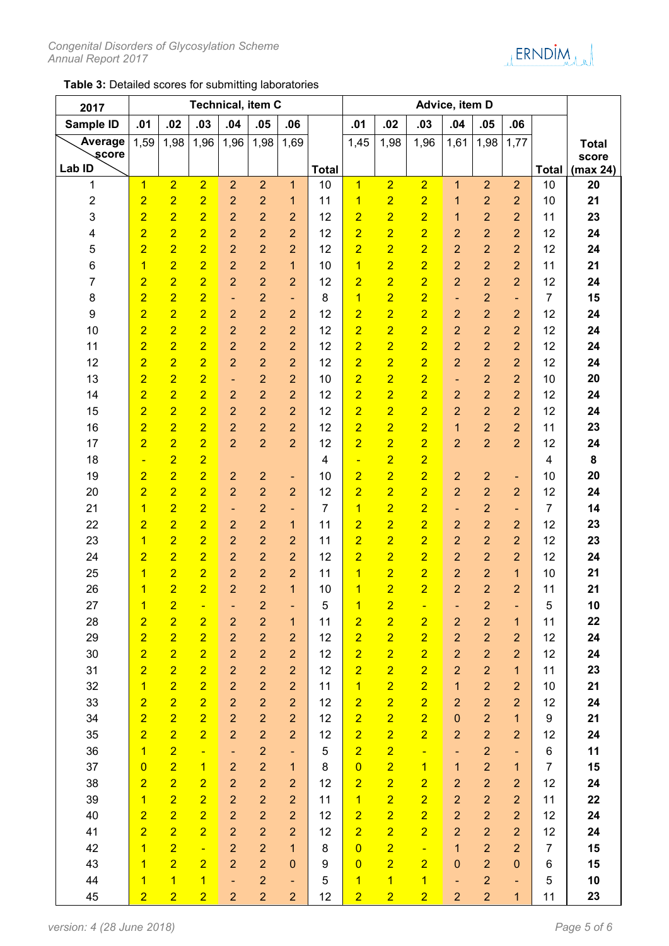

# **Table 3:** Detailed scores for submitting laboratories

| 2017                         | Technical, item C                |                                  |                                  |                                  |                                  |                          |                | Advice, item D      |                                  |                                  |                          |                                  |                                  |                |              |
|------------------------------|----------------------------------|----------------------------------|----------------------------------|----------------------------------|----------------------------------|--------------------------|----------------|---------------------|----------------------------------|----------------------------------|--------------------------|----------------------------------|----------------------------------|----------------|--------------|
| Sample ID                    | .01                              | .02                              | .03                              | .04                              | .05                              | .06                      |                | .01                 | .02                              | .03                              | .04                      | .05                              | .06                              |                |              |
| Average                      | 1,59                             | 1,98                             | 1,96                             | 1,96                             | 1,98                             | 1,69                     |                | 1,45                | 1,98                             | 1,96                             | 1,61                     | 1,98                             | 1,77                             |                | <b>Total</b> |
| score                        |                                  |                                  |                                  |                                  |                                  |                          |                |                     |                                  |                                  |                          |                                  |                                  |                | score        |
| Lab ID                       |                                  |                                  |                                  |                                  |                                  |                          | <b>Total</b>   | $\overline{1}$      |                                  |                                  |                          |                                  | $\overline{2}$                   | <b>Total</b>   | (max 24)     |
| 1                            | $\overline{1}$                   | $\overline{2}$                   | $\overline{2}$                   | $\overline{2}$                   | $\overline{2}$                   | $\mathbf{1}$             | 10             |                     | $\overline{2}$                   | $\overline{2}$<br>$\overline{2}$ | 1                        | $\overline{2}$<br>$\overline{2}$ |                                  | 10             | 20<br>21     |
| $\overline{\mathbf{c}}$<br>3 | $\overline{2}$<br>$\overline{2}$ | $\overline{2}$<br>$\overline{2}$ | $\overline{2}$<br>$\overline{2}$ | $\overline{2}$<br>$\overline{2}$ | $\overline{2}$<br>$\overline{2}$ | 1<br>$\overline{2}$      | 11<br>12       | 1<br>$\overline{2}$ | $\overline{2}$<br>$\overline{2}$ | $\overline{2}$                   | 1                        | $\overline{2}$                   | $\overline{2}$<br>$\overline{2}$ | 10<br>11       | 23           |
| 4                            | $\overline{2}$                   | $\overline{2}$                   | $\overline{2}$                   | $\overline{2}$                   | $\overline{2}$                   | $\overline{2}$           | 12             | $\overline{2}$      | $\overline{2}$                   | $\overline{2}$                   | 1<br>2                   | $\overline{2}$                   | $\overline{2}$                   | 12             | 24           |
| 5                            | $\overline{2}$                   | $\overline{2}$                   | $\overline{2}$                   | $\overline{2}$                   | $\overline{2}$                   | $\overline{2}$           | 12             | $\overline{2}$      | $\overline{\mathbf{2}}$          | $\overline{2}$                   | $\overline{2}$           | $\overline{2}$                   | $\overline{2}$                   | 12             | 24           |
| 6                            | $\overline{1}$                   | $\overline{2}$                   | $\overline{2}$                   | $\overline{2}$                   | $\overline{2}$                   | $\mathbf{1}$             | 10             | $\overline{1}$      | $\overline{2}$                   | $\overline{2}$                   | $\overline{2}$           | $\overline{2}$                   | $\overline{2}$                   | 11             | 21           |
| 7                            | $\overline{2}$                   | $\overline{2}$                   | $\overline{2}$                   | $\overline{2}$                   | $\overline{2}$                   | $\overline{2}$           | 12             | $\overline{2}$      | $\overline{2}$                   | $\overline{2}$                   | $\overline{2}$           | $\overline{2}$                   | $\overline{2}$                   | 12             | 24           |
| 8                            | $\overline{2}$                   | $\overline{2}$                   | $\overline{2}$                   | ٠                                | $\overline{2}$                   | $\overline{\phantom{a}}$ | 8              | 1                   | $\overline{2}$                   | $\overline{2}$                   | $\overline{\phantom{a}}$ | $\overline{2}$                   | $\overline{\phantom{a}}$         | $\overline{7}$ | 15           |
| 9                            | $\overline{2}$                   | $\overline{2}$                   | $\overline{2}$                   | $\overline{2}$                   | $\overline{2}$                   | $\overline{2}$           | 12             | $\overline{2}$      | $\overline{2}$                   | $\overline{2}$                   | $\overline{2}$           | $\overline{2}$                   | $\overline{2}$                   | 12             | 24           |
| 10                           | $\overline{2}$                   | $\overline{2}$                   | $\overline{2}$                   | $\overline{2}$                   | $\overline{2}$                   | $\overline{2}$           | 12             | $\overline{2}$      | $\overline{2}$                   | $\overline{2}$                   | $\overline{2}$           | $\overline{2}$                   | $\overline{2}$                   | 12             | 24           |
| 11                           | $\overline{2}$                   | $\overline{2}$                   | $\overline{2}$                   | $\overline{2}$                   | $\overline{2}$                   | $\overline{2}$           | 12             | $\overline{2}$      | $\overline{2}$                   | $\overline{2}$                   | $\overline{2}$           | $\overline{2}$                   | $\overline{2}$                   | 12             | 24           |
| 12                           | $\overline{2}$                   | $\overline{2}$                   | $\overline{2}$                   | $\overline{2}$                   | $\overline{2}$                   | $\overline{2}$           | 12             | $\overline{2}$      | $\overline{2}$                   | $\overline{2}$                   | $\overline{2}$           | $\overline{2}$                   | $\overline{2}$                   | 12             | 24           |
| 13                           | $\overline{2}$                   | $\overline{2}$                   | $\overline{2}$                   | ٠                                | $\overline{2}$                   | $\overline{2}$           | 10             | $\overline{2}$      | $\overline{2}$                   | $\overline{2}$                   | $\overline{\phantom{a}}$ | $\overline{2}$                   | $\overline{2}$                   | 10             | 20           |
| 14                           | $\overline{2}$                   | $\overline{2}$                   | $\overline{2}$                   | $\overline{2}$                   | $\overline{2}$                   | $\overline{2}$           | 12             | $\overline{2}$      | $\overline{2}$                   | $\overline{2}$                   | $\overline{2}$           | $\overline{2}$                   | $\overline{2}$                   | 12             | 24           |
| 15                           | $\overline{2}$                   | $\overline{2}$                   | $\overline{2}$                   | $\overline{2}$                   | $\overline{2}$                   | $\overline{2}$           | 12             | $\overline{2}$      | $\overline{2}$                   | $\overline{2}$                   | $\overline{2}$           | $\overline{2}$                   | $\overline{2}$                   | 12             | 24           |
| 16                           | $\overline{2}$                   | $\overline{2}$                   | $\overline{2}$                   | $\overline{2}$                   | $\overline{2}$                   | $\overline{2}$           | 12             | $\overline{2}$      | $\overline{2}$                   | $\overline{2}$                   | 1                        | $\overline{2}$                   | $\overline{2}$                   | 11             | 23           |
| 17                           | $\overline{2}$                   | $\overline{2}$                   | $\overline{2}$                   | $\overline{2}$                   | $\overline{2}$                   | $\overline{2}$           | 12             | $\overline{2}$      | $\overline{2}$                   | $\overline{2}$                   | $\overline{2}$           | $\overline{2}$                   | $\overline{2}$                   | 12             | 24           |
| 18                           | $\blacksquare$                   | $\overline{2}$                   | $\overline{2}$                   |                                  |                                  |                          | 4              | Ξ                   | $\overline{2}$                   | $\overline{2}$                   |                          |                                  |                                  | 4              | 8            |
| 19                           | $\overline{2}$                   | $\overline{2}$                   | $\overline{2}$                   | $\overline{2}$                   | $\overline{2}$                   | ۰                        | 10             | $\overline{2}$      | $\overline{2}$                   | $\overline{2}$                   | $\overline{2}$           | $\overline{a}$                   | ۰                                | 10             | 20           |
| 20                           | $\overline{2}$                   | $\overline{2}$                   | $\overline{2}$                   | $\overline{2}$                   | $\overline{2}$                   | $\overline{2}$           | 12             | $\overline{2}$      | $\overline{2}$                   | $\overline{2}$                   | $\overline{2}$           | $\overline{2}$                   | $\overline{2}$                   | 12             | 24           |
| 21                           | $\overline{\mathbf{1}}$          | $\overline{2}$                   | $\overline{2}$                   | ٠                                | $\overline{2}$                   | $\overline{\phantom{a}}$ | $\overline{7}$ | $\mathbf{1}$        | $\overline{2}$                   | $\overline{2}$                   | $\blacksquare$           | $\overline{2}$                   | ۰                                | $\overline{7}$ | 14           |
| 22                           | $\overline{2}$                   | $\overline{2}$                   | $\overline{2}$                   | $\overline{2}$                   | $\overline{2}$                   | $\mathbf{1}$             | 11             | $\overline{2}$      | $\overline{2}$                   | $\overline{2}$                   | $\overline{2}$           | $\overline{2}$                   | $\overline{2}$                   | 12             | 23           |
| 23                           | $\overline{1}$                   | $\overline{2}$                   | $\overline{2}$                   | $\overline{2}$                   | $\overline{2}$                   | $\overline{2}$           | 11             | $\overline{2}$      | $\overline{2}$                   | $\overline{2}$                   | $\overline{2}$           | $\overline{2}$                   | $\overline{2}$                   | 12             | 23           |
| 24                           | $\overline{2}$                   | $\overline{2}$                   | $\overline{2}$                   | $\overline{2}$                   | $\overline{2}$                   | $\overline{2}$           | 12             | $\overline{2}$      | $\overline{2}$                   | $\overline{2}$                   | $\overline{2}$           | $\overline{2}$                   | $\overline{2}$                   | 12             | 24           |
| 25                           | 1                                | $\overline{2}$                   | $\overline{2}$                   | $\overline{2}$                   | $\overline{2}$                   | $\overline{2}$           | 11             | 1                   | $\overline{2}$                   | $\overline{2}$                   | $\overline{2}$           | $\overline{2}$                   | 1                                | 10             | 21           |
| 26                           | 1                                | $\overline{2}$                   | $\overline{2}$                   | $\overline{2}$                   | $\overline{2}$                   | 1                        | 10             | $\mathbf{1}$        | $\overline{2}$                   | $\overline{2}$                   | $\overline{2}$           | $\overline{2}$                   | $\overline{2}$                   | 11             | 21           |
| 27                           | $\mathbf{1}$                     | $\overline{2}$                   |                                  |                                  | $\overline{c}$                   |                          | 5              | $\mathbf{1}$        | $\overline{2}$                   |                                  |                          | 2                                |                                  | 5              | 10           |
| 28                           | $\overline{2}$                   | $\overline{2}$                   | $\overline{2}$                   | $\overline{a}$                   | $\overline{c}$                   | $\mathbf{1}$             | 11             | $\overline{2}$      | $\overline{2}$                   | $\overline{2}$                   | $\overline{2}$           | $\overline{2}$                   | $\mathbf{1}$                     | 11             | 22           |
| 29                           | $\overline{2}$                   | $\overline{2}$                   | $\overline{2}$                   | $\overline{2}$                   | $\overline{2}$                   | $\overline{2}$           | 12             | $\overline{2}$      | $\overline{2}$                   | $\overline{2}$                   | $\overline{2}$           | $\overline{2}$                   | $\overline{2}$                   | 12             | 24           |
| 30                           | $\overline{2}$                   | $\overline{2}$                   | $\overline{2}$                   | $\overline{2}$                   | $\overline{2}$                   | $\overline{2}$           | 12             | $\overline{2}$      | $\overline{2}$                   | $\overline{2}$                   | $\overline{2}$           | $\overline{2}$                   | $\overline{2}$                   | 12             | 24           |
| 31                           | $\overline{2}$                   | $\overline{2}$                   | $\overline{2}$                   | $\overline{2}$                   | $\overline{2}$                   | $\overline{2}$           | 12             | $\overline{2}$      | $\overline{2}$                   | $\overline{2}$                   | $\overline{2}$           | $\overline{2}$                   | $\mathbf{1}$                     | 11             | 23           |
| 32                           | $\overline{1}$                   | $\overline{2}$                   | $\overline{2}$                   | $\overline{2}$                   | $\overline{2}$                   | $\overline{2}$           | 11             | $\overline{1}$      | $\overline{2}$                   | $\overline{2}$                   | $\overline{1}$           | $\overline{2}$                   | $\overline{2}$                   | 10             | 21           |
| 33                           | $\overline{2}$                   | $\overline{2}$                   | $\overline{2}$                   | $\overline{2}$                   | $\overline{2}$                   | $\overline{2}$           | 12             | $\overline{2}$      | $\overline{2}$                   | $\overline{2}$                   | $\overline{2}$           | $\overline{2}$                   | $\overline{2}$                   | 12             | 24           |
| 34                           | $\overline{2}$                   | $\overline{2}$                   | $\overline{2}$                   | $\overline{2}$                   | $\overline{2}$                   | $\overline{2}$           | 12             | $\overline{2}$      | $\overline{2}$                   | $\overline{2}$                   | $\mathbf 0$              | $\overline{2}$                   | $\overline{1}$                   | 9              | 21           |
| 35                           | $\overline{2}$                   | $\overline{2}$                   | $\overline{2}$                   | $\overline{2}$                   | $\overline{2}$                   | $\overline{2}$           | 12             | $\overline{2}$      | $\overline{2}$                   | $\overline{2}$                   | $\overline{2}$           | $\overline{2}$                   | $\overline{2}$                   | 12             | 24           |
| 36                           | $\overline{1}$                   | $\overline{2}$                   | $\blacksquare$                   | $\blacksquare$                   | $\overline{2}$                   | $\blacksquare$           | 5              | $\overline{2}$      | $\overline{2}$                   | $\blacksquare$                   | $\overline{\phantom{a}}$ | $\overline{2}$                   | Ξ                                | 6              | 11           |
| 37                           | $\overline{0}$                   | $\overline{2}$                   | $\overline{1}$                   | $\overline{2}$                   | $\overline{2}$                   | $\overline{1}$           | 8              | $\overline{0}$      | $\overline{2}$                   | $\overline{1}$                   | $\mathbf{1}$             | $\overline{2}$                   | $\mathbf{1}$                     | $\overline{7}$ | 15           |
| 38                           | $\overline{2}$                   | $\overline{2}$                   | $\overline{2}$                   | $\overline{2}$                   | $\overline{2}$                   | $\overline{2}$           | 12             | $\overline{2}$      | $\overline{2}$                   | $\overline{2}$                   | $\overline{2}$           | $\overline{2}$                   | $\overline{2}$                   | 12             | 24           |
| 39                           | $\overline{1}$                   | $\overline{2}$                   | $\overline{2}$                   | $\overline{2}$                   | $\overline{2}$                   | $\overline{2}$           | 11             | $\overline{1}$      | $\overline{2}$                   | $\overline{2}$                   | $\overline{2}$           | $\overline{2}$                   | $\overline{2}$                   | 11             | 22           |
| 40                           | $\overline{2}$                   | $\overline{2}$                   | $\overline{2}$                   | $\overline{2}$                   | $\overline{2}$                   | $\overline{2}$           | 12             | $\overline{2}$      | $\overline{2}$                   | $\overline{2}$                   | $\overline{2}$           | $\overline{2}$                   | $\overline{2}$                   | 12             | 24           |
| 41                           | $\overline{2}$                   | $\overline{2}$                   | $\overline{2}$                   | $\overline{2}$                   | $\overline{2}$                   | $\overline{2}$           | 12             | $\overline{2}$      | $\overline{2}$                   | $\overline{2}$                   | $\overline{2}$           | $\overline{2}$                   | $\overline{2}$                   | 12             | 24           |
| 42                           | $\overline{1}$                   | $\overline{2}$                   | $\Box$                           | $\overline{2}$                   | $\overline{2}$                   | $\overline{1}$           | 8              | $\overline{0}$      | $\overline{2}$                   | $\blacksquare$                   | $\overline{1}$           | $\overline{2}$                   | $\overline{2}$                   | $\overline{7}$ | 15           |
| 43                           | $\overline{1}$                   | $\overline{2}$                   | $\overline{2}$                   | $\overline{2}$                   | $\overline{2}$                   | $\mathbf{0}$             | 9              | $\overline{0}$      | $\overline{2}$                   | $\overline{2}$                   | $\mathbf 0$              | $\overline{2}$                   | $\mathbf 0$                      | 6              | 15           |
| 44                           | $\overline{1}$                   | $\overline{1}$                   | $\overline{1}$                   | ÷,                               | $\overline{2}$                   | ÷                        | 5              | $\mathbf{1}$        | $\overline{1}$                   | $\overline{1}$                   | ÷                        | $\overline{2}$                   | ÷,                               | 5              | 10           |
| 45                           | $\overline{2}$                   | $\overline{2}$                   | $\overline{2}$                   | $\overline{2}$                   | $\overline{2}$                   | $\overline{2}$           | 12             | $\overline{2}$      | $\overline{2}$                   | $\overline{2}$                   | $\overline{2}$           | $\overline{2}$                   | $\mathbf{1}$                     | 11             | 23           |